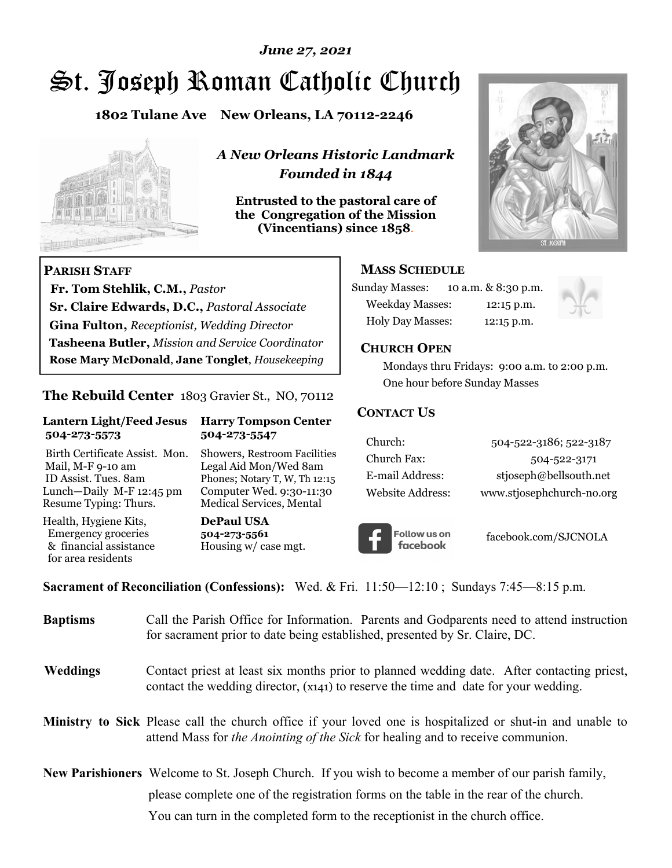# *June 27, 2021*

# St. Joseph Roman Catholic Church

**1802 Tulane Ave New Orleans, LA 70112-2246**



 **Fr. Tom Stehlik, C.M.,** *Pastor* 

**Sr. Claire Edwards, D.C.,** *Pastoral Associate* **Gina Fulton,** *Receptionist, Wedding Director* 

**Tasheena Butler,** *Mission and Service Coordinator* **Rose Mary McDonald**, **Jane Tonglet**, *Housekeeping*

**The Rebuild Center** 1803 Gravier St., NO, 70112

**Lantern Light/Feed Jesus Harry Tompson Center** 

Birth Certificate Assist. Mon. Showers, Restroom Facilities Mail, M-F 9-10 am Legal Aid Mon/Wed 8am ID Assist. Tues. 8am Phones; Notary T, W, Th 12:15 Lunch—Daily M-F 12:45 pm Computer Wed. 9:30-11:30 Resume Typing: Thurs. Medical Services, Mental

 **504-273-5573 504-273-5547** 

Health, Hygiene Kits, **DePaul USA**  Emergency groceries **504-273-5561**

& financial assistance Housing w/ case mgt.

**PARISH STAFF**

for area residents

*A New Orleans Historic Landmark Founded in 1844* 

**Entrusted to the pastoral care of the Congregation of the Mission (Vincentians) since 1858**.



# **MASS SCHEDULE**

| <b>Sunday Masses:</b>  | 10 a.m. & 8:30 p.m. |
|------------------------|---------------------|
| <b>Weekday Masses:</b> | $12:15$ p.m.        |
| Holy Day Masses:       | 12:15 p.m.          |



## **CHURCH OPEN**

 Mondays thru Fridays: 9:00 a.m. to 2:00 p.m. One hour before Sunday Masses

## **CONTACT US**

| Church:          | 504-522-3186; 522-3187    |
|------------------|---------------------------|
| Church Fax:      | 504-522-3171              |
| E-mail Address:  | stjoseph@bellsouth.net    |
| Website Address: | www.stjosephchurch-no.org |



facebook.com/SJCNOLA

**Sacrament of Reconciliation (Confessions):** Wed. & Fri. 11:50—12:10 ; Sundays 7:45—8:15 p.m.

| <b>Baptisms</b> | Call the Parish Office for Information. Parents and Godparents need to attend instruction<br>for sacrament prior to date being established, presented by Sr. Claire, DC.                     |
|-----------------|----------------------------------------------------------------------------------------------------------------------------------------------------------------------------------------------|
| <b>Weddings</b> | Contact priest at least six months prior to planned wedding date. After contacting priest,<br>contact the wedding director, (x141) to reserve the time and date for your wedding.            |
|                 | Ministry to Sick Please call the church office if your loved one is hospitalized or shut-in and unable to<br>attend Mass for the Anointing of the Sick for healing and to receive communion. |
|                 | New Parishioners Welcome to St. Joseph Church. If you wish to become a member of our parish family,                                                                                          |
|                 | please complete one of the registration forms on the table in the rear of the church.                                                                                                        |
|                 | You can turn in the completed form to the receptionist in the church office.                                                                                                                 |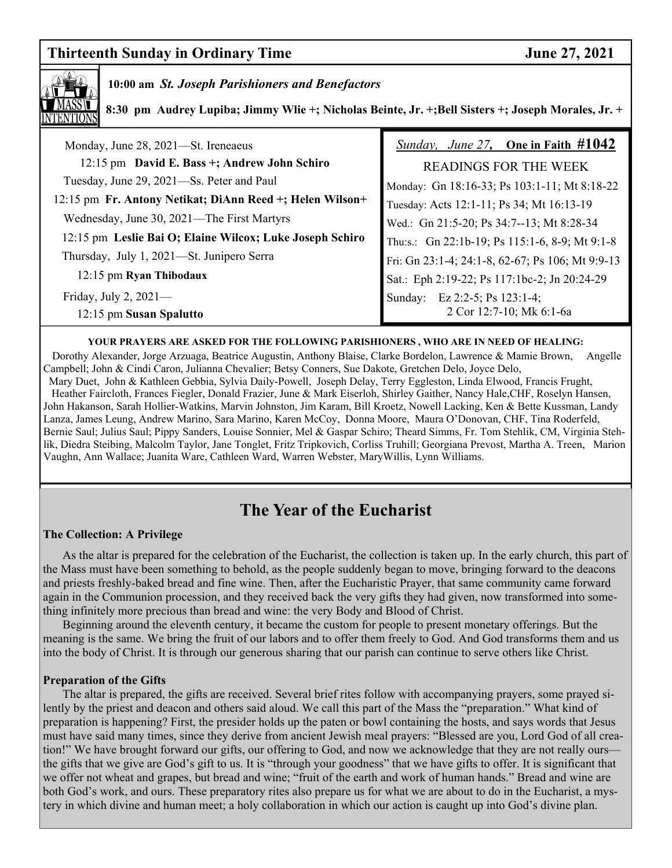# **Thirteenth Sunday in Ordinary Time 37, 2021**



# **10:00 am** *St. Joseph Parishioners and Benefactors*

 **8:30 pm Audrey Lupiba; Jimmy Wlie +; Nicholas Beinte, Jr. +;Bell Sisters +; Joseph Morales, Jr. +** 

| Monday, June 28, 2021-St. Ireneaeus                      | Sunday, June 27, One in Faith $\#1042$           |
|----------------------------------------------------------|--------------------------------------------------|
| 12:15 pm David E. Bass +; Andrew John Schiro             | <b>READINGS FOR THE WEEK</b>                     |
| Tuesday, June 29, 2021—Ss. Peter and Paul                | Monday: Gn 18:16-33; Ps 103:1-11; Mt 8:18-22     |
| 12:15 pm Fr. Antony Netikat; DiAnn Reed +; Helen Wilson+ | Tuesday: Acts 12:1-11; Ps 34; Mt 16:13-19        |
| Wednesday, June 30, 2021—The First Martyrs               | Wed.: Gn 21:5-20; Ps 34:7--13; Mt 8:28-34        |
| 12:15 pm Leslie Bai O; Elaine Wilcox; Luke Joseph Schiro | Thu:s.: Gn 22:1b-19; Ps 115:1-6, 8-9; Mt 9:1-8   |
| Thursday, July 1, 2021—St. Junipero Serra                | Fri: Gn 23:1-4; 24:1-8, 62-67; Ps 106; Mt 9:9-13 |
| 12:15 pm Ryan Thibodaux                                  | Sat.: Eph 2:19-22; Ps 117:1bc-2; Jn 20:24-29     |
| Friday, July 2, $2021$ —                                 | Sunday: Ez 2:2-5; Ps 123:1-4;                    |
| 12:15 pm Susan Spalutto                                  | 2 Cor 12:7-10; Mk 6:1-6a                         |

#### **YOUR PRAYERS ARE ASKED FOR THE FOLLOWING PARISHIONERS , WHO ARE IN NEED OF HEALING:**

 Dorothy Alexander, Jorge Arzuaga, Beatrice Augustin, Anthony Blaise, Clarke Bordelon, Lawrence & Mamie Brown, Angelle Campbell; John & Cindi Caron, Julianna Chevalier; Betsy Conners, Sue Dakote, Gretchen Delo, Joyce Delo, Mary Duet, John & Kathleen Gebbia, Sylvia Daily-Powell, Joseph Delay, Terry Eggleston, Linda Elwood, Francis Frught, Heather Faircloth, Frances Fiegler, Donald Frazier, June & Mark Eiserloh, Shirley Gaither, Nancy Hale,CHF, Roselyn Hansen, John Hakanson, Sarah Hollier-Watkins, Marvin Johnston, Jim Karam, Bill Kroetz, Nowell Lacking, Ken & Bette Kussman, Landy Lanza, James Leung, Andrew Marino, Sara Marino, Karen McCoy, Donna Moore, Maura O'Donovan, CHF, Tina Roderfeld, Bernie Saul; Julius Saul; Pippy Sanders, Louise Sonnier, Mel & Gaspar Schiro; Theard Simms, Fr. Tom Stehlik, CM, Virginia Stehlik, Diedra Steibing, Malcolm Taylor, Jane Tonglet, Fritz Tripkovich, Corliss Truhill; Georgiana Prevost, Martha A. Treen, Marion Vaughn, Ann Wallace; Juanita Ware, Cathleen Ward, Warren Webster, MaryWillis, Lynn Williams.

# **The Year of the Eucharist**

#### **The Collection: A Privilege**

 As the altar is prepared for the celebration of the Eucharist, the collection is taken up. In the early church, this part of the Mass must have been something to behold, as the people suddenly began to move, bringing forward to the deacons and priests freshly-baked bread and fine wine. Then, after the Eucharistic Prayer, that same community came forward again in the Communion procession, and they received back the very gifts they had given, now transformed into something infinitely more precious than bread and wine: the very Body and Blood of Christ.

 Beginning around the eleventh century, it became the custom for people to present monetary offerings. But the meaning is the same. We bring the fruit of our labors and to offer them freely to God. And God transforms them and us into the body of Christ. It is through our generous sharing that our parish can continue to serve others like Christ.

#### **Preparation of the Gifts**

 The altar is prepared, the gifts are received. Several brief rites follow with accompanying prayers, some prayed silently by the priest and deacon and others said aloud. We call this part of the Mass the "preparation." What kind of preparation is happening? First, the presider holds up the paten or bowl containing the hosts, and says words that Jesus must have said many times, since they derive from ancient Jewish meal prayers: "Blessed are you, Lord God of all creation!" We have brought forward our gifts, our offering to God, and now we acknowledge that they are not really ours the gifts that we give are God's gift to us. It is "through your goodness" that we have gifts to offer. It is significant that we offer not wheat and grapes, but bread and wine; "fruit of the earth and work of human hands." Bread and wine are both God's work, and ours. These preparatory rites also prepare us for what we are about to do in the Eucharist, a mystery in which divine and human meet; a holy collaboration in which our action is caught up into God's divine plan.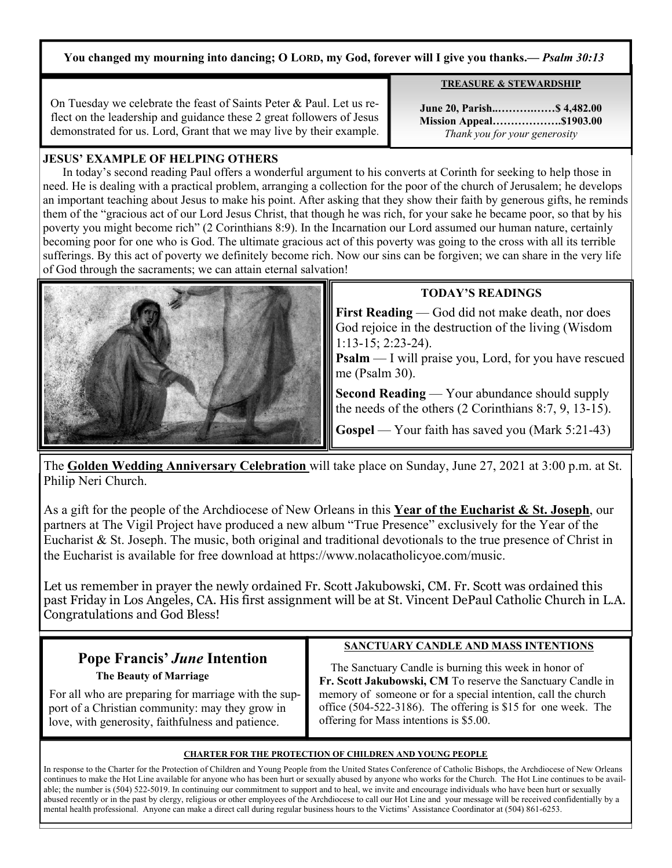## **You changed my mourning into dancing; O LORD, my God, forever will I give you thanks.***— Psalm 30:13*

On Tuesday we celebrate the feast of Saints Peter & Paul. Let us reflect on the leadership and guidance these 2 great followers of Jesus demonstrated for us. Lord, Grant that we may live by their example.

**June 20, Parish..……….……\$ 4,482.00 Mission Appeal……………….\$1903.00**  *Thank you for your generosity*

**TREASURE & STEWARDSHIP**

## **JESUS' EXAMPLE OF HELPING OTHERS**

 In today's second reading Paul offers a wonderful argument to his converts at Corinth for seeking to help those in need. He is dealing with a practical problem, arranging a collection for the poor of the church of Jerusalem; he develops an important teaching about Jesus to make his point. After asking that they show their faith by generous gifts, he reminds them of the "gracious act of our Lord Jesus Christ, that though he was rich, for your sake he became poor, so that by his poverty you might become rich" (2 Corinthians 8:9). In the Incarnation our Lord assumed our human nature, certainly becoming poor for one who is God. The ultimate gracious act of this poverty was going to the cross with all its terrible sufferings. By this act of poverty we definitely become rich. Now our sins can be forgiven; we can share in the very life of God through the sacraments; we can attain eternal salvation!



# **TODAY'S READINGS**

**First Reading** — God did not make death, nor does God rejoice in the destruction of the living (Wisdom 1:13-15; 2:23-24).

**Psalm** — I will praise you, Lord, for you have rescued me (Psalm 30).

**Second Reading** — Your abundance should supply the needs of the others (2 Corinthians 8:7, 9, 13-15).

**Gospel** — Your faith has saved you (Mark 5:21-43)

The **Golden Wedding Anniversary Celebration** will take place on Sunday, June 27, 2021 at 3:00 p.m. at St. Philip Neri Church.

As a gift for the people of the Archdiocese of New Orleans in this **Year of the Eucharist & St. Joseph**, our partners at The Vigil Project have produced a new album "True Presence" exclusively for the Year of the Eucharist & St. Joseph. The music, both original and traditional devotionals to the true presence of Christ in the Eucharist is available for free download at https://www.nolacatholicyoe.com/music.

Let us remember in prayer the newly ordained Fr. Scott Jakubowski, CM. Fr. Scott was ordained this past Friday in Los Angeles, CA. His first assignment will be at St. Vincent DePaul Catholic Church in L.A. Congratulations and God Bless!

# **Pope Francis'** *June* **Intention**

 **The Beauty of Marriage** 

 For all who are preparing for marriage with the sup port of a Christian community: may they grow in love, with generosity, faithfulness and patience.

# **SANCTUARY CANDLE AND MASS INTENTIONS**

 The Sanctuary Candle is burning this week in honor of **Fr. Scott Jakubowski, CM** To reserve the Sanctuary Candle in memory of someone or for a special intention, call the church office (504-522-3186). The offering is \$15 for one week. The offering for Mass intentions is \$5.00.

#### **CHARTER FOR THE PROTECTION OF CHILDREN AND YOUNG PEOPLE**

In response to the Charter for the Protection of Children and Young People from the United States Conference of Catholic Bishops, the Archdiocese of New Orleans continues to make the Hot Line available for anyone who has been hurt or sexually abused by anyone who works for the Church. The Hot Line continues to be available; the number is (504) 522-5019. In continuing our commitment to support and to heal, we invite and encourage individuals who have been hurt or sexually abused recently or in the past by clergy, religious or other employees of the Archdiocese to call our Hot Line and your message will be received confidentially by a mental health professional. Anyone can make a direct call during regular business hours to the Victims' Assistance Coordinator at (504) 861-6253.